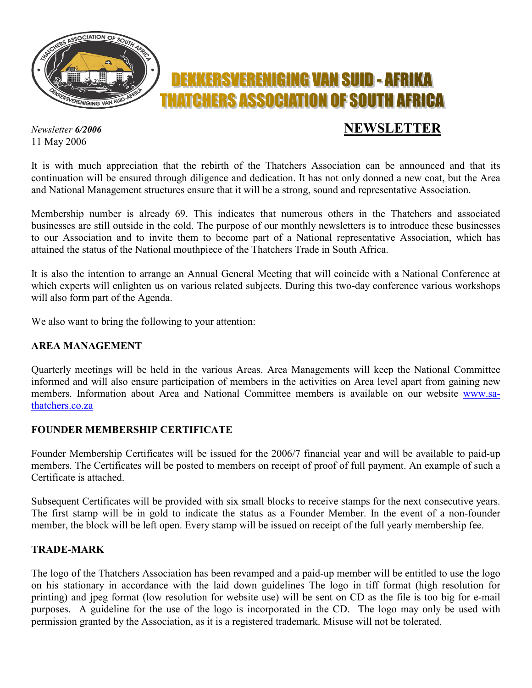

11 May 2006

# *Newsletter 6/2006* **NEWSLETTER**

It is with much appreciation that the rebirth of the Thatchers Association can be announced and that its continuation will be ensured through diligence and dedication. It has not only donned a new coat, but the Area and National Management structures ensure that it will be a strong, sound and representative Association.

Membership number is already 69. This indicates that numerous others in the Thatchers and associated businesses are still outside in the cold. The purpose of our monthly newsletters is to introduce these businesses to our Association and to invite them to become part of a National representative Association, which has attained the status of the National mouthpiece of the Thatchers Trade in South Africa.

It is also the intention to arrange an Annual General Meeting that will coincide with a National Conference at which experts will enlighten us on various related subjects. During this two-day conference various workshops will also form part of the Agenda.

We also want to bring the following to your attention:

#### **AREA MANAGEMENT**

Quarterly meetings will be held in the various Areas. Area Managements will keep the National Committee informed and will also ensure participation of members in the activities on Area level apart from gaining new members. Information about Area and National Committee members is available on our website www.sathatchers.co.za

## **FOUNDER MEMBERSHIP CERTIFICATE**

Founder Membership Certificates will be issued for the 2006/7 financial year and will be available to paid-up members. The Certificates will be posted to members on receipt of proof of full payment. An example of such a Certificate is attached.

Subsequent Certificates will be provided with six small blocks to receive stamps for the next consecutive years. The first stamp will be in gold to indicate the status as a Founder Member. In the event of a non-founder member, the block will be left open. Every stamp will be issued on receipt of the full yearly membership fee.

#### **TRADE-MARK**

The logo of the Thatchers Association has been revamped and a paid-up member will be entitled to use the logo on his stationary in accordance with the laid down guidelines The logo in tiff format (high resolution for printing) and jpeg format (low resolution for website use) will be sent on CD as the file is too big for e-mail purposes. A guideline for the use of the logo is incorporated in the CD. The logo may only be used with permission granted by the Association, as it is a registered trademark. Misuse will not be tolerated.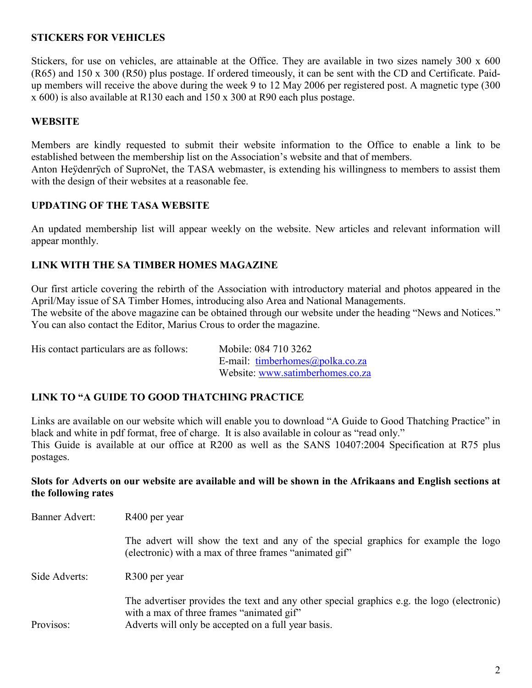## **STICKERS FOR VEHICLES**

Stickers, for use on vehicles, are attainable at the Office. They are available in two sizes namely 300 x 600 (R65) and 150 x 300 (R50) plus postage. If ordered timeously, it can be sent with the CD and Certificate. Paidup members will receive the above during the week 9 to 12 May 2006 per registered post. A magnetic type (300 x 600) is also available at R130 each and 150 x 300 at R90 each plus postage.

## **WEBSITE**

Members are kindly requested to submit their website information to the Office to enable a link to be established between the membership list on the Association's website and that of members.

Anton Heÿdenrÿch of SuproNet, the TASA webmaster, is extending his willingness to members to assist them with the design of their websites at a reasonable fee.

#### **UPDATING OF THE TASA WEBSITE**

An updated membership list will appear weekly on the website. New articles and relevant information will appear monthly.

## **LINK WITH THE SA TIMBER HOMES MAGAZINE**

Our first article covering the rebirth of the Association with introductory material and photos appeared in the April/May issue of SA Timber Homes, introducing also Area and National Managements. The website of the above magazine can be obtained through our website under the heading "News and Notices."

You can also contact the Editor, Marius Crous to order the magazine.

His contact particulars are as follows: Mobile: 084 710 3262 E-mail: timberhomes@polka.co.za Website: www.satimberhomes.co.za

## **LINK TO "A GUIDE TO GOOD THATCHING PRACTICE**

Links are available on our website which will enable you to download "A Guide to Good Thatching Practice" in black and white in pdf format, free of charge. It is also available in colour as "read only." This Guide is available at our office at R200 as well as the SANS 10407:2004 Specification at R75 plus postages.

#### **Slots for Adverts on our website are available and will be shown in the Afrikaans and English sections at the following rates**

| Banner Advert: | R400 per year                                                                                                                                                                                  |  |  |
|----------------|------------------------------------------------------------------------------------------------------------------------------------------------------------------------------------------------|--|--|
|                | The advert will show the text and any of the special graphics for example the logo<br>(electronic) with a max of three frames "animated gif"                                                   |  |  |
| Side Adverts:  | R300 per year                                                                                                                                                                                  |  |  |
| Provisos:      | The advertiser provides the text and any other special graphics e.g. the logo (electronic)<br>with a max of three frames "animated gif"<br>Adverts will only be accepted on a full year basis. |  |  |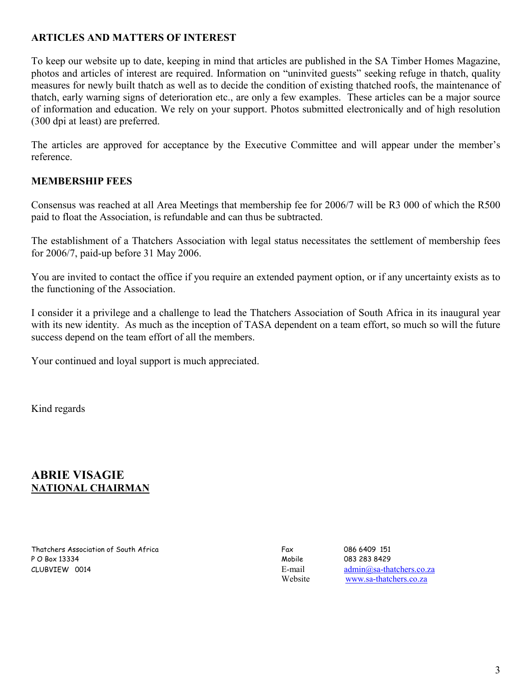## **ARTICLES AND MATTERS OF INTEREST**

To keep our website up to date, keeping in mind that articles are published in the SA Timber Homes Magazine, photos and articles of interest are required. Information on "uninvited guests" seeking refuge in thatch, quality measures for newly built thatch as well as to decide the condition of existing thatched roofs, the maintenance of thatch, early warning signs of deterioration etc., are only a few examples. These articles can be a major source of information and education. We rely on your support. Photos submitted electronically and of high resolution (300 dpi at least) are preferred.

The articles are approved for acceptance by the Executive Committee and will appear under the member's reference.

## **MEMBERSHIP FEES**

Consensus was reached at all Area Meetings that membership fee for 2006/7 will be R3 000 of which the R500 paid to float the Association, is refundable and can thus be subtracted.

The establishment of a Thatchers Association with legal status necessitates the settlement of membership fees for 2006/7, paid-up before 31 May 2006.

You are invited to contact the office if you require an extended payment option, or if any uncertainty exists as to the functioning of the Association.

I consider it a privilege and a challenge to lead the Thatchers Association of South Africa in its inaugural year with its new identity. As much as the inception of TASA dependent on a team effort, so much so will the future success depend on the team effort of all the members.

Your continued and loyal support is much appreciated.

Kind regards

## **ABRIE VISAGIE NATIONAL CHAIRMAN**

Thatchers Association of South Africa Fax Fax 686 6409 151 P O Box 13334 Mobile 083 283 8429 CLUBVIEW 0014 E-mail admin@sa-thatchers.co.za

Website www.sa-thatchers.co.za